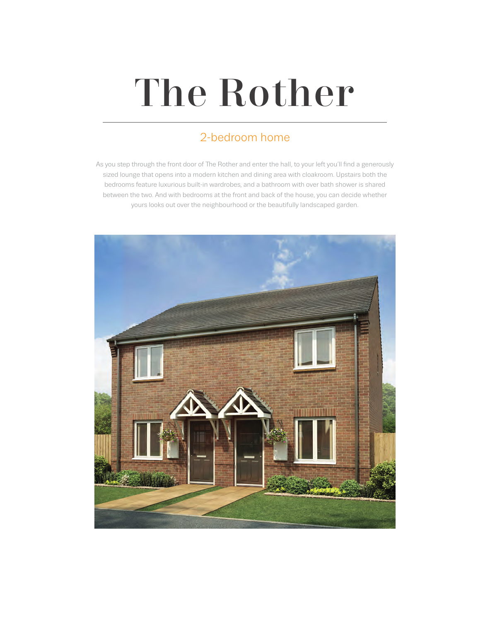# The Rother

### 2-bedroom home

As you step through the front door of The Rother and enter the hall, to your left you'll find a generously sized lounge that opens into a modern kitchen and dining area with cloakroom. Upstairs both the bedrooms feature luxurious built-in wardrobes, and a bathroom with over bath shower is shared between the two. And with bedrooms at the front and back of the house, you can decide whether yours looks out over the neighbourhood or the beautifully landscaped garden.